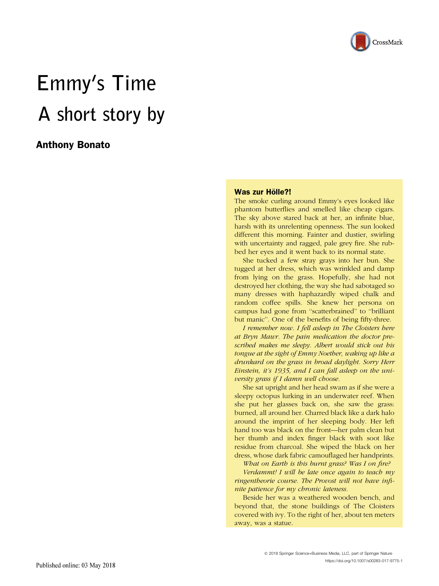

## Emmy's Time A short story by

## Anthony Bonato

## Was zur Hölle?!

The smoke curling around Emmy's eyes looked like phantom butterflies and smelled like cheap cigars. The sky above stared back at her, an infinite blue, harsh with its unrelenting openness. The sun looked different this morning. Fainter and dustier, swirling with uncertainty and ragged, pale grey fire. She rubbed her eyes and it went back to its normal state.

She tucked a few stray grays into her bun. She tugged at her dress, which was wrinkled and damp from lying on the grass. Hopefully, she had not destroyed her clothing, the way she had sabotaged so many dresses with haphazardly wiped chalk and random coffee spills. She knew her persona on campus had gone from ''scatterbrained'' to ''brilliant but manic''. One of the benefits of being fifty-three.

I remember now. I fell asleep in The Cloisters here at Bryn Mawr. The pain medication the doctor prescribed makes me sleepy. Albert would stick out his tongue at the sight of Emmy Noether, waking up like a drunkard on the grass in broad daylight. Sorry Herr Einstein, it's 1935, and I can fall asleep on the university grass if I damn well choose.

She sat upright and her head swam as if she were a sleepy octopus lurking in an underwater reef. When she put her glasses back on, she saw the grass: burned, all around her. Charred black like a dark halo around the imprint of her sleeping body. Her left hand too was black on the front—her palm clean but her thumb and index finger black with soot like residue from charcoal. She wiped the black on her dress, whose dark fabric camouflaged her handprints.

What on Earth is this burnt grass? Was I on fire?

Verdammt! I will be late once again to teach my ringentheorie course. The Provost will not have infinite patience for my chronic lateness.

Beside her was a weathered wooden bench, and beyond that, the stone buildings of The Cloisters covered with ivy. To the right of her, about ten meters away, was a statue.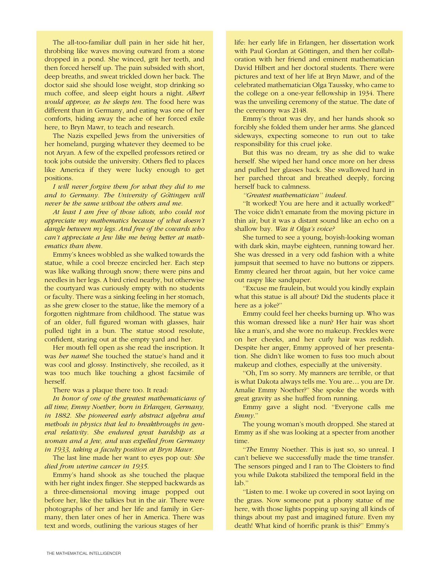The all-too-familiar dull pain in her side hit her, throbbing like waves moving outward from a stone dropped in a pond. She winced, grit her teeth, and then forced herself up. The pain subsided with short, deep breaths, and sweat trickled down her back. The doctor said she should lose weight, stop drinking so much coffee, and sleep eight hours a night. Albert would approve, as he sleeps ten. The food here was different than in Germany, and eating was one of her comforts, hiding away the ache of her forced exile here, to Bryn Mawr, to teach and research.

The Nazis expelled Jews from the universities of her homeland, purging whatever they deemed to be not Aryan. A few of the expelled professors retired or took jobs outside the university. Others fled to places like America if they were lucky enough to get positions.

I will never forgive them for what they did to me and to Germany. The University of Gottingen will never be the same without the others and me.

At least I am free of those idiots, who could not appreciate my mathematics because of what doesn't dangle between my legs. And free of the cowards who can't appreciate a Jew like me being better at mathematics than them.

Emmy's knees wobbled as she walked towards the statue, while a cool breeze encircled her. Each step was like walking through snow; there were pins and needles in her legs. A bird cried nearby, but otherwise the courtyard was curiously empty with no students or faculty. There was a sinking feeling in her stomach, as she grew closer to the statue, like the memory of a forgotten nightmare from childhood. The statue was of an older, full figured woman with glasses, hair pulled tight in a bun. The statue stood resolute, confident, staring out at the empty yard and her.

Her mouth fell open as she read the inscription. It was her name! She touched the statue's hand and it was cool and glossy. Instinctively, she recoiled, as it was too much like touching a ghost facsimile of herself.

There was a plaque there too. It read:

In honor of one of the greatest mathematicians of all time, Emmy Noether, born in Erlangen, Germany, in 1882. She pioneered early abstract algebra and methods in physics that led to breakthroughs in general relativity. She endured great hardship as a woman and a Jew, and was expelled from Germany in 1933, taking a faculty position at Bryn Mawr.

The last line made her want to eyes pop out: She died from uterine cancer in 1935.

Emmy's hand shook as she touched the plaque with her right index finger. She stepped backwards as a three-dimensional moving image popped out before her, like the talkies but in the air. There were photographs of her and her life and family in Germany, then later ones of her in America. There was text and words, outlining the various stages of her

life: her early life in Erlangen, her dissertation work with Paul Gordan at Göttingen, and then her collaboration with her friend and eminent mathematician David Hilbert and her doctoral students. There were pictures and text of her life at Bryn Mawr, and of the celebrated mathematician Olga Taussky, who came to the college on a one-year fellowship in 1934. There was the unveiling ceremony of the statue. The date of the ceremony was 2148.

Emmy's throat was dry, and her hands shook so forcibly she folded them under her arms. She glanced sideways, expecting someone to run out to take responsibility for this cruel joke.

But this was no dream, try as she did to wake herself. She wiped her hand once more on her dress and pulled her glasses back. She swallowed hard in her parched throat and breathed deeply, forcing herself back to calmness.

''Greatest mathematician'' indeed.

''It worked! You are here and it actually worked!'' The voice didn't emanate from the moving picture in thin air, but it was a distant sound like an echo on a shallow bay. Was it Olga's voice?

She turned to see a young, boyish-looking woman with dark skin, maybe eighteen, running toward her. She was dressed in a very odd fashion with a white jumpsuit that seemed to have no buttons or zippers. Emmy cleared her throat again, but her voice came out raspy like sandpaper.

''Excuse me fraulein, but would you kindly explain what this statue is all about? Did the students place it here as a joke?''

Emmy could feel her cheeks burning up. Who was this woman dressed like a nun? Her hair was short like a man's, and she wore no makeup. Freckles were on her cheeks, and her curly hair was reddish. Despite her anger, Emmy approved of her presentation. She didn't like women to fuss too much about makeup and clothes, especially at the university.

''Oh, I'm so sorry. My manners are terrible, or that is what Dakota always tells me. You are… you are Dr. Amalie Emmy Noether?'' She spoke the words with great gravity as she huffed from running.

Emmy gave a slight nod. ''Everyone calls me Emmy.''

The young woman's mouth dropped. She stared at Emmy as if she was looking at a specter from another time.

"The Emmy Noether. This is just so, so unreal. I can't believe we successfully made the time transfer. The sensors pinged and I ran to The Cloisters to find you while Dakota stabilized the temporal field in the lab.''

''Listen to me. I woke up covered in soot laying on the grass. Now someone put a phony statue of me here, with those lights popping up saying all kinds of things about my past and imagined future. Even my death! What kind of horrific prank is this?'' Emmy's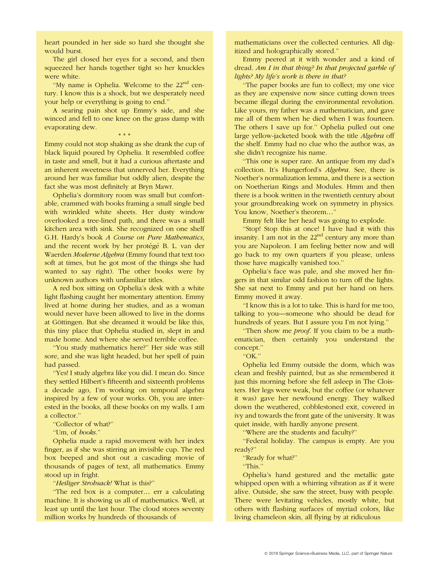heart pounded in her side so hard she thought she would burst.

The girl closed her eyes for a second, and then squeezed her hands together tight so her knuckles were white.

"My name is Ophelia. Welcome to the  $22<sup>nd</sup>$  century. I know this is a shock, but we desperately need your help or everything is going to end.''

A searing pain shot up Emmy's side, and she winced and fell to one knee on the grass damp with evaporating dew. \*\*\*

Emmy could not stop shaking as she drank the cup of black liquid poured by Ophelia. It resembled coffee in taste and smell, but it had a curious aftertaste and an inherent sweetness that unnerved her. Everything around her was familiar but oddly alien, despite the fact she was most definitely at Bryn Mawr.

Ophelia's dormitory room was small but comfortable, crammed with books framing a small single bed with wrinkled white sheets. Her dusty window overlooked a tree-lined path, and there was a small kitchen area with sink. She recognized on one shelf G.H. Hardy's book A Course on Pure Mathematics, and the recent work by her protégé B. L. van der Waerden Moderne Algebra (Emmy found that text too soft at times, but he got most of the things she had wanted to say right). The other books were by unknown authors with unfamiliar titles.

A red box sitting on Ophelia's desk with a white light flashing caught her momentary attention. Emmy lived at home during her studies, and as a woman would never have been allowed to live in the dorms at Göttingen. But she dreamed it would be like this, this tiny place that Ophelia studied in, slept in and made home. And where she served terrible coffee.

''You study mathematics here?'' Her side was still sore, and she was light headed, but her spell of pain had passed.

''Yes! I study algebra like you did. I mean do. Since they settled Hilbert's fifteenth and sixteenth problems a decade ago, I'm working on temporal algebra inspired by a few of your works. Oh, you are interested in the books, all these books on my walls. I am a collector.''

''Collector of what?''

''Um, of books.''

Ophelia made a rapid movement with her index finger, as if she was stirring an invisible cup. The red box beeped and shot out a cascading movie of thousands of pages of text, all mathematics. Emmy stood up in fright.

"Heiliger Strobsack! What is this?"

"The red box is a computer... err a calculating machine. It is showing us all of mathematics. Well, at least up until the last hour. The cloud stores seventy million works by hundreds of thousands of

mathematicians over the collected centuries. All digitized and holographically stored.''

Emmy peered at it with wonder and a kind of dread. Am I in that thing? In that projected garble of lights? My life's work is there in that?

''The paper books are fun to collect; my one vice as they are expensive now since cutting down trees became illegal during the environmental revolution. Like yours, my father was a mathematician, and gave me all of them when he died when I was fourteen. The others I save up for.'' Ophelia pulled out one large yellow-jacketed book with the title Algebra off the shelf. Emmy had no clue who the author was, as she didn't recognize his name.

''This one is super rare. An antique from my dad's collection. It's Hungerford's Algebra. See, there is Noether's normalization lemma, and there is a section on Noetherian Rings and Modules. Hmm and then there is a book written in the twentieth century about your groundbreaking work on symmetry in physics. You know, Noether's theorem…''

Emmy felt like her head was going to explode.

''Stop! Stop this at once! I have had it with this insanity. I am not in the  $22<sup>nd</sup>$  century any more than you are Napoleon. I am feeling better now and will go back to my own quarters if you please, unless those have magically vanished too.''

Ophelia's face was pale, and she moved her fingers in that similar odd fashion to turn off the lights. She sat next to Emmy and put her hand on hers. Emmy moved it away.

''I know this is a lot to take. This is hard for me too, talking to you—someone who should be dead for hundreds of years. But I assure you I'm not lying.''

"Then show me *proof*. If you claim to be a mathematician, then certainly you understand the concept.''

''OK.''

Ophelia led Emmy outside the dorm, which was clean and freshly painted, but as she remembered it just this morning before she fell asleep in The Cloisters. Her legs were weak, but the coffee (or whatever it was) gave her newfound energy. They walked down the weathered, cobblestoned exit, covered in ivy and towards the front gate of the university. It was quiet inside, with hardly anyone present.

''Where are the students and faculty?''

''Federal holiday. The campus is empty. Are you ready?''

''Ready for what?''

''This.''

Ophelia's hand gestured and the metallic gate whipped open with a whirring vibration as if it were alive. Outside, she saw the street, busy with people. There were levitating vehicles, mostly white, but others with flashing surfaces of myriad colors, like living chameleon skin, all flying by at ridiculous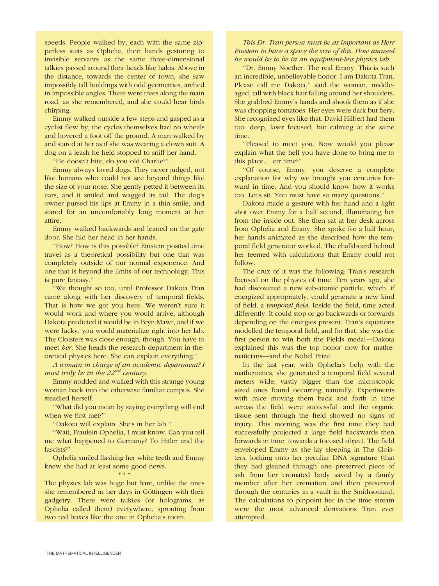speeds. People walked by, each with the same zipperless suits as Ophelia, their hands gesturing to invisible servants as the same three-dimensional talkies passed around their heads like halos. Above in the distance, towards the center of town, she saw impossibly tall buildings with odd geometries, arched in impossible angles. There were trees along the main road, as she remembered, and she could hear birds chirping.

Emmy walked outside a few steps and gasped as a cyclist flew by; the cycles themselves had no wheels and hovered a foot off the ground. A man walked by and stared at her as if she was wearing a clown suit. A dog on a leash he held stopped to sniff her hand.

''He doesn't bite, do you old Charlie?''

Emmy always loved dogs. They never judged, not like humans who could not see beyond things like the size of your nose. She gently petted it between its ears, and it smiled and wagged its tail. The dog's owner pursed his lips at Emmy in a thin smile, and stared for an uncomfortably long moment at her attire.

Emmy walked backwards and leaned on the gate door. She hid her head in her hands.

''How? How is this possible? Einstein posited time travel as a theoretical possibility but one that was completely outside of our normal experience. And one that is beyond the limits of our technology. This is pure fantasy.''

''We thought so too, until Professor Dakota Tran came along with her discovery of temporal fields. That is how we got you here. We weren't sure it would work and where you would arrive, although Dakota predicted it would be in Bryn Mawr, and if we were lucky, you would materialize right into her lab. The Cloisters was close enough, though. You have to meet her. She heads the research department in theoretical physics here. She can explain everything.''

A woman in charge of an academic department? I must truly be in the  $22^{nd}$  century.

Emmy nodded and walked with this strange young woman back into the otherwise familiar campus. She steadied herself.

''What did you mean by saying everything will end when we first met?''

''Dakota will explain. She's in her lab.''

''Wait, Fraulein Ophelia, I must know. Can you tell me what happened to Germany? To Hitler and the fascists?''

Ophelia smiled flashing her white teeth and Emmy knew she had at least some good news. \*\*\*

The physics lab was huge but bare, unlike the ones she remembered in her days in Göttingen with their gadgetry. There were talkies (or holograms, as Ophelia called them) everywhere, sprouting from two red boxes like the one in Ophelia's room.

This Dr. Tran person must be as important as Herr Einstein to have a space the size of this. How amused he would be to be in an equipment-less physics lab.

''Dr. Emmy Noether. The real Emmy. This is such an incredible, unbelievable honor. I am Dakota Tran. Please call me Dakota," said the woman, middleaged, tall with black hair falling around her shoulders. She grabbed Emmy's hands and shook them as if she was chopping tomatoes. Her eyes were dark but fiery. She recognized eyes like that. David Hilbert had them too: deep, laser focused, but calming at the same time.

''Pleased to meet you. Now would you please explain what the hell you have done to bring me to this place… err time?''

''Of course, Emmy, you deserve a complete explanation for why we brought you centuries forward in time. And you should know how it works too. Let's sit. You must have so many questions.''

Dakota made a gesture with her hand and a light shot over Emmy for a half second, illuminating her from the inside out. She then sat at her desk across from Ophelia and Emmy. She spoke for a half hour, her hands animated as she described how the temporal field generator worked. The chalkboard behind her teemed with calculations that Emmy could not follow.

The crux of it was the following: Tran's research focused on the physics of time. Ten years ago, she had discovered a new sub-atomic particle, which, if energized appropriately, could generate a new kind of field, a temporal field. Inside the field, time acted differently. It could stop or go backwards or forwards depending on the energies present. Tran's equations modelled the temporal field, and for that, she was the first person to win both the Fields medal—Dakota explained this was the top honor now for mathematicians—and the Nobel Prize.

In the last year, with Ophelia's help with the mathematics, she generated a temporal field several meters wide, vastly bigger than the microscopic sized ones found occurring naturally. Experiments with mice moving them back and forth in time across the field were successful, and the organic tissue sent through the field showed no signs of injury. This morning was the first time they had successfully projected a large field backwards then forwards in time, towards a focused object. The field enveloped Emmy as she lay sleeping in The Cloisters, locking onto her peculiar DNA signature (that they had gleaned through one preserved piece of ash from her cremated body saved by a family member after her cremation and then preserved through the centuries in a vault in the Smithsonian). The calculations to pinpoint her in the time stream were the most advanced derivations Tran ever attempted.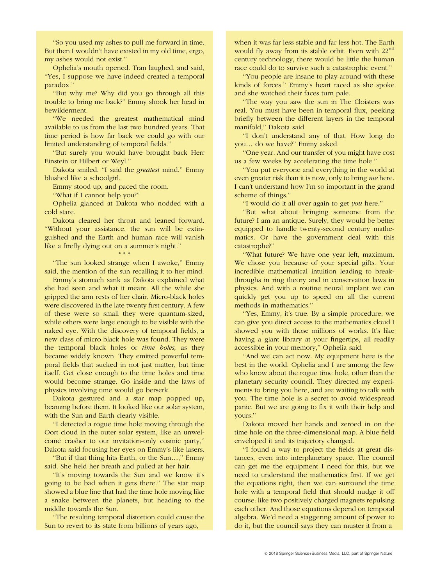''So you used my ashes to pull me forward in time. But then I wouldn't have existed in my old time, ergo, my ashes would not exist.''

Ophelia's mouth opened. Tran laughed, and said, ''Yes, I suppose we have indeed created a temporal paradox.''

''But why me? Why did you go through all this trouble to bring me back?'' Emmy shook her head in bewilderment.

''We needed the greatest mathematical mind available to us from the last two hundred years. That time period is how far back we could go with our limited understanding of temporal fields.''

''But surely you would have brought back Herr Einstein or Hilbert or Weyl.''

Dakota smiled. "I said the *greatest* mind." Emmy blushed like a schoolgirl.

Emmy stood up, and paced the room.

''What if I cannot help you?''

Ophelia glanced at Dakota who nodded with a cold stare.

Dakota cleared her throat and leaned forward. ''Without your assistance, the sun will be extinguished and the Earth and human race will vanish like a firefly dying out on a summer's night.''

''The sun looked strange when I awoke,'' Emmy said, the mention of the sun recalling it to her mind.

\*\*\*

Emmy's stomach sank as Dakota explained what she had seen and what it meant. All the while she gripped the arm rests of her chair. Micro-black holes were discovered in the late twenty first century. A few of these were so small they were quantum-sized, while others were large enough to be visible with the naked eye. With the discovery of temporal fields, a new class of micro black hole was found. They were the temporal black holes or *time holes*, as they became widely known. They emitted powerful temporal fields that sucked in not just matter, but time itself. Get close enough to the time holes and time would become strange. Go inside and the laws of physics involving time would go berserk.

Dakota gestured and a star map popped up, beaming before them. It looked like our solar system, with the Sun and Earth clearly visible.

''I detected a rogue time hole moving through the Oort cloud in the outer solar system, like an unwelcome crasher to our invitation-only cosmic party,'' Dakota said focusing her eyes on Emmy's like lasers.

''But if that thing hits Earth, or the Sun…,'' Emmy said. She held her breath and pulled at her hair.

''It's moving towards the Sun and we know it's going to be bad when it gets there.'' The star map showed a blue line that had the time hole moving like a snake between the planets, but heading to the middle towards the Sun.

''The resulting temporal distortion could cause the Sun to revert to its state from billions of years ago,

when it was far less stable and far less hot. The Earth would fly away from its stable orbit. Even with 22<sup>nd</sup> century technology, there would be little the human race could do to survive such a catastrophic event.''

''You people are insane to play around with these kinds of forces.'' Emmy's heart raced as she spoke and she watched their faces turn pale.

''The way you saw the sun in The Cloisters was real. You must have been in temporal flux, peeking briefly between the different layers in the temporal manifold,'' Dakota said.

''I don't understand any of that. How long do you… do we have?'' Emmy asked.

''One year. And our transfer of you might have cost us a few weeks by accelerating the time hole.''

''You put everyone and everything in the world at even greater risk than it is now, only to bring me here. I can't understand how I'm so important in the grand scheme of things.''

"I would do it all over again to get you here."

''But what about bringing someone from the future? I am an antique. Surely, they would be better equipped to handle twenty-second century mathematics. Or have the government deal with this catastrophe?''

''What future? We have one year left, maximum. We chose you because of your special gifts. Your incredible mathematical intuition leading to breakthroughs in ring theory and in conservation laws in physics. And with a routine neural implant we can quickly get you up to speed on all the current methods in mathematics.''

''Yes, Emmy, it's true. By a simple procedure, we can give you direct access to the mathematics cloud I showed you with those millions of works. It's like having a giant library at your fingertips, all readily accessible in your memory,'' Ophelia said.

"And we can act now. My equipment here is the best in the world. Ophelia and I are among the few who know about the rogue time hole, other than the planetary security council. They directed my experiments to bring you here, and are waiting to talk with you. The time hole is a secret to avoid widespread panic. But we are going to fix it with their help and yours.''

Dakota moved her hands and zeroed in on the time hole on the three-dimensional map. A blue field enveloped it and its trajectory changed.

''I found a way to project the fields at great distances, even into interplanetary space. The council can get me the equipment I need for this, but we need to understand the mathematics first. If we get the equations right, then we can surround the time hole with a temporal field that should nudge it off course: like two positively charged magnets repulsing each other. And those equations depend on temporal algebra. We'd need a staggering amount of power to do it, but the council says they can muster it from a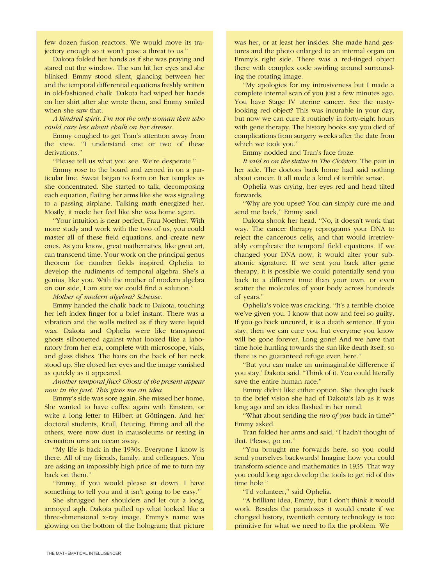few dozen fusion reactors. We would move its trajectory enough so it won't pose a threat to us.''

Dakota folded her hands as if she was praying and stared out the window. The sun hit her eyes and she blinked. Emmy stood silent, glancing between her and the temporal differential equations freshly written in old-fashioned chalk. Dakota had wiped her hands on her shirt after she wrote them, and Emmy smiled when she saw that.

A kindred spirit. I'm not the only woman then who could care less about chalk on her dresses.

Emmy coughed to get Tran's attention away from the view. ''I understand one or two of these derivations.''

''Please tell us what you see. We're desperate.''

Emmy rose to the board and zeroed in on a particular line. Sweat began to form on her temples as she concentrated. She started to talk, decomposing each equation, flailing her arms like she was signaling to a passing airplane. Talking math energized her. Mostly, it made her feel like she was home again.

''Your intuition is near perfect, Frau Noether. With more study and work with the two of us, you could master all of these field equations, and create new ones. As you know, great mathematics, like great art, can transcend time. Your work on the principal genus theorem for number fields inspired Ophelia to develop the rudiments of temporal algebra. She's a genius, like you. With the mother of modern algebra on our side, I am sure we could find a solution.''

Mother of modern algebra? Scheisse.

Emmy handed the chalk back to Dakota, touching her left index finger for a brief instant. There was a vibration and the walls melted as if they were liquid wax. Dakota and Ophelia were like transparent ghosts silhouetted against what looked like a laboratory from her era, complete with microscope, vials, and glass dishes. The hairs on the back of her neck stood up. She closed her eyes and the image vanished as quickly as it appeared.

Another temporal flux? Ghosts of the present appear now in the past. This gives me an idea.

Emmy's side was sore again. She missed her home. She wanted to have coffee again with Einstein, or write a long letter to Hilbert at Göttingen. And her doctoral students, Krull, Deuring, Fitting and all the others, were now dust in mausoleums or resting in cremation urns an ocean away.

''My life is back in the 1930s. Everyone I know is there. All of my friends, family, and colleagues. You are asking an impossibly high price of me to turn my back on them.''

''Emmy, if you would please sit down. I have something to tell you and it isn't going to be easy.''

She shrugged her shoulders and let out a long, annoyed sigh. Dakota pulled up what looked like a three-dimensional x-ray image. Emmy's name was glowing on the bottom of the hologram; that picture was her, or at least her insides. She made hand gestures and the photo enlarged to an internal organ on Emmy's right side. There was a red-tinged object there with complex code swirling around surrounding the rotating image.

''My apologies for my intrusiveness but I made a complete internal scan of you just a few minutes ago. You have Stage IV uterine cancer. See the nastylooking red object? This was incurable in your day, but now we can cure it routinely in forty-eight hours with gene therapy. The history books say you died of complications from surgery weeks after the date from which we took you.''

Emmy nodded and Tran's face froze.

It said so on the statue in The Cloisters. The pain in her side. The doctors back home had said nothing about cancer. It all made a kind of terrible sense.

Ophelia was crying, her eyes red and head tilted forwards.

''Why are you upset? You can simply cure me and send me back,'' Emmy said.

Dakota shook her head. ''No, it doesn't work that way. The cancer therapy reprograms your DNA to reject the cancerous cells, and that would irretrievably complicate the temporal field equations. If we changed your DNA now, it would alter your subatomic signature. If we sent you back after gene therapy, it is possible we could potentially send you back to a different time than your own, or even scatter the molecules of your body across hundreds of years.''

Ophelia's voice was cracking. ''It's a terrible choice we've given you. I know that now and feel so guilty. If you go back uncured, it is a death sentence. If you stay, then we can cure you but everyone you know will be gone forever. Long gone! And we have that time hole hurtling towards the sun like death itself, so there is no guaranteed refuge even here.''

''But you can make an unimaginable difference if you stay,' Dakota said. ''Think of it. You could literally save the entire human race.''

Emmy didn't like either option. She thought back to the brief vision she had of Dakota's lab as it was long ago and an idea flashed in her mind.

"What about sending the two of you back in time?" Emmy asked.

Tran folded her arms and said, ''I hadn't thought of that. Please, go on.''

''You brought me forwards here, so you could send yourselves backwards! Imagine how you could transform science and mathematics in 1935. That way you could long ago develop the tools to get rid of this time hole.''

"I'd volunteer," said Ophelia.

"A brilliant idea, Emmy, but I don't think it would work. Besides the paradoxes it would create if we changed history, twentieth century technology is too primitive for what we need to fix the problem. We